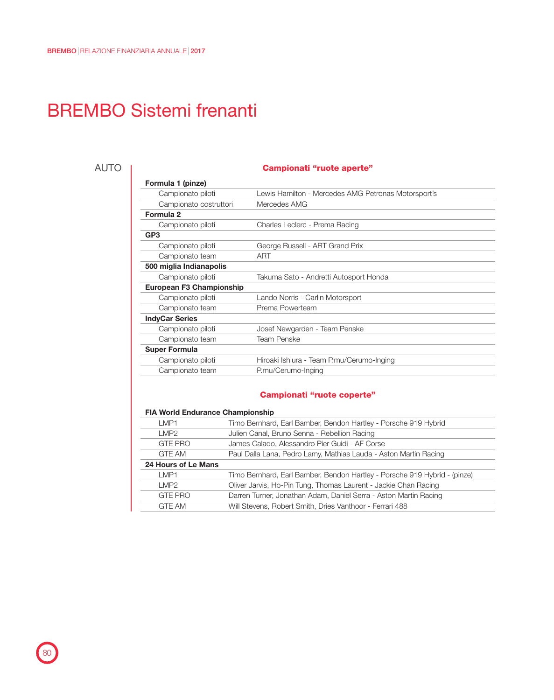# BREMBO Sistemi frenanti

### AUTO

#### Campionati "ruote aperte"

| Formula 1 (pinze)               |                                                     |
|---------------------------------|-----------------------------------------------------|
| Campionato piloti               | Lewis Hamilton - Mercedes AMG Petronas Motorsport's |
| Campionato costruttori          | Mercedes AMG                                        |
| Formula 2                       |                                                     |
| Campionato piloti               | Charles Leclerc - Prema Racing                      |
| GP <sub>3</sub>                 |                                                     |
| Campionato piloti               | George Russell - ART Grand Prix                     |
| Campionato team                 | ART                                                 |
| 500 miglia Indianapolis         |                                                     |
| Campionato piloti               | Takuma Sato - Andretti Autosport Honda              |
| <b>European F3 Championship</b> |                                                     |
| Campionato piloti               | Lando Norris - Carlin Motorsport                    |
| Campionato team                 | Prema Powerteam                                     |
| <b>IndyCar Series</b>           |                                                     |
| Campionato piloti               | Josef Newgarden - Team Penske                       |
| Campionato team                 | <b>Team Penske</b>                                  |
| <b>Super Formula</b>            |                                                     |
| Campionato piloti               | Hiroaki Ishiura - Team P.mu/Cerumo-Inging           |
| Campionato team                 | P.mu/Cerumo-Inging                                  |
|                                 |                                                     |

#### Campionati "ruote coperte"

## FIA World Endurance Championship

| LMP1                | Timo Bernhard, Earl Bamber, Bendon Hartley - Porsche 919 Hybrid           |
|---------------------|---------------------------------------------------------------------------|
| LMP2                | Julien Canal, Bruno Senna - Rebellion Racing                              |
| <b>GTE PRO</b>      | James Calado, Alessandro Pier Guidi - AF Corse                            |
| <b>GTF AM</b>       | Paul Dalla Lana, Pedro Lamy, Mathias Lauda - Aston Martin Racing          |
| 24 Hours of Le Mans |                                                                           |
| LMP1                | Timo Bernhard, Earl Bamber, Bendon Hartley - Porsche 919 Hybrid - (pinze) |
| I MP <sub>2</sub>   | Oliver Jarvis, Ho-Pin Tung, Thomas Laurent - Jackie Chan Racing           |
| <b>GTE PRO</b>      | Darren Turner, Jonathan Adam, Daniel Serra - Aston Martin Racing          |
| <b>GTE AM</b>       | Will Stevens, Robert Smith, Dries Vanthoor - Ferrari 488                  |